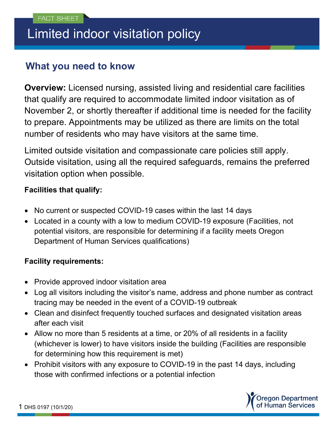# Limited indoor visitation policy

## **What you need to know**

**Overview:** Licensed nursing, assisted living and residential care facilities that qualify are required to accommodate limited indoor visitation as of November 2, or shortly thereafter if additional time is needed for the facility to prepare. Appointments may be utilized as there are limits on the total number of residents who may have visitors at the same time.

Limited outside visitation and compassionate care policies still apply. Outside visitation, using all the required safeguards, remains the preferred visitation option when possible.

### **Facilities that qualify:**

- No current or suspected COVID-19 cases within the last 14 days
- Located in a county with a low to medium COVID-19 exposure (Facilities, not potential visitors, are responsible for determining if a facility meets Oregon Department of Human Services qualifications)

### **Facility requirements:**

- Provide approved indoor visitation area
- Log all visitors including the visitor's name, address and phone number as contract tracing may be needed in the event of a COVID-19 outbreak
- Clean and disinfect frequently touched surfaces and designated visitation areas after each visit
- Allow no more than 5 residents at a time, or 20% of all residents in a facility (whichever is lower) to have visitors inside the building (Facilities are responsible for determining how this requirement is met)
- Prohibit visitors with any exposure to COVID-19 in the past 14 days, including those with confirmed infections or a potential infection



1 DHS 0197 (10/1/20)